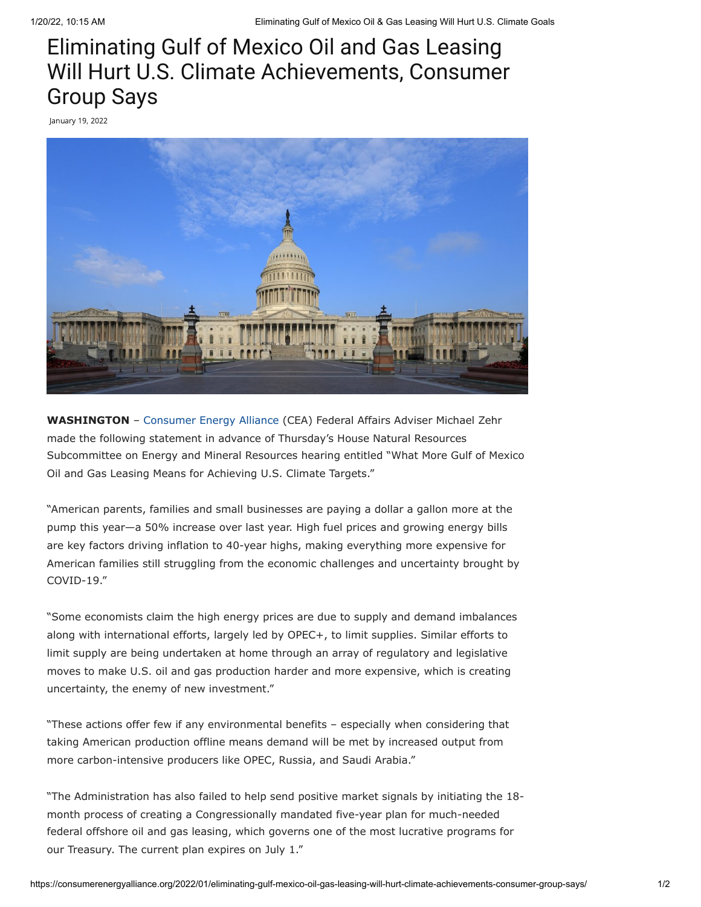## Eliminating Gulf of Mexico Oil and Gas Leasing Will Hurt U.S. Climate Achievements, Consumer Group Says

January 19, 2022



**WASHINGTON** – [Consumer Energy Alliance](https://consumerenergyalliance.org/) (CEA) Federal Affairs Adviser Michael Zehr made the following statement in advance of Thursday's House Natural Resources Subcommittee on Energy and Mineral Resources hearing entitled "What More Gulf of Mexico Oil and Gas Leasing Means for Achieving U.S. Climate Targets."

"American parents, families and small businesses are paying a dollar a gallon more at the pump this year—a 50% increase over last year. High fuel prices and growing energy bills are key factors driving inflation to 40-year highs, making everything more expensive for American families still struggling from the economic challenges and uncertainty brought by COVID-19."

"Some economists claim the high energy prices are due to supply and demand imbalances along with international efforts, largely led by OPEC+, to limit supplies. Similar efforts to limit supply are being undertaken at home through an array of regulatory and legislative moves to make U.S. oil and gas production harder and more expensive, which is creating uncertainty, the enemy of new investment."

"These actions offer few if any environmental benefits – especially when considering that taking American production offline means demand will be met by increased output from more carbon-intensive producers like OPEC, Russia, and Saudi Arabia."

"The Administration has also failed to help send positive market signals by initiating the 18 month process of creating a Congressionally mandated five-year plan for much-needed federal offshore oil and gas leasing, which governs one of the most lucrative programs for our Treasury. The current plan expires on July 1."